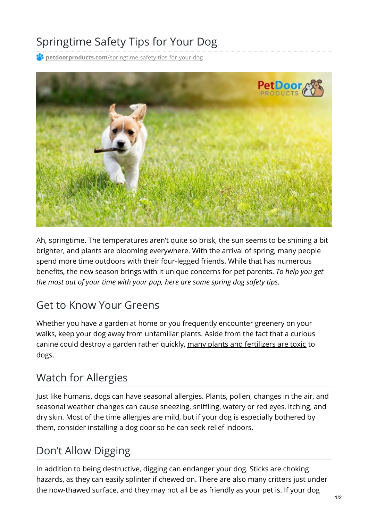# Springtime Safety Tips for Your Dog

**petdoorproducts.com**[/springtime-safety-tips-for-your-dog](https://petdoorproducts.com/springtime-safety-tips-for-your-dog/)



Ah, springtime. The temperatures aren't quite so brisk, the sun seems to be shining a bit brighter, and plants are blooming everywhere. With the arrival of spring, many people spend more time outdoors with their four-legged friends. While that has numerous benefits, the new season brings with it unique concerns for pet parents. *To help you get the most out of your time with your pup, here are some spring dog safety tips.*

#### Get to Know Your Greens

Whether you have a garden at home or you frequently encounter greenery on your walks, keep your dog away from unfamiliar plants. Aside from the fact that a curious canine could destroy a garden rather quickly, many plants and [fertilizers](https://www.aspca.org/pet-care/animal-poison-control/toxic-and-non-toxic-plants?field_toxicity_value%5B%5D=01) are toxic to dogs.

### Watch for Allergies

Just like humans, dogs can have seasonal allergies. Plants, pollen, changes in the air, and seasonal weather changes can cause sneezing, sniffling, watery or red eyes, itching, and dry skin. Most of the time allergies are mild, but if your dog is especially bothered by them, consider installing a dog [door](https://petdoorproducts.com/product/sliding-glass-dog-door/) so he can seek relief indoors.

### Don't Allow Digging

In addition to being destructive, digging can endanger your dog. Sticks are choking hazards, as they can easily splinter if chewed on. There are also many critters just under the now-thawed surface, and they may not all be as friendly as your pet is. If your dog